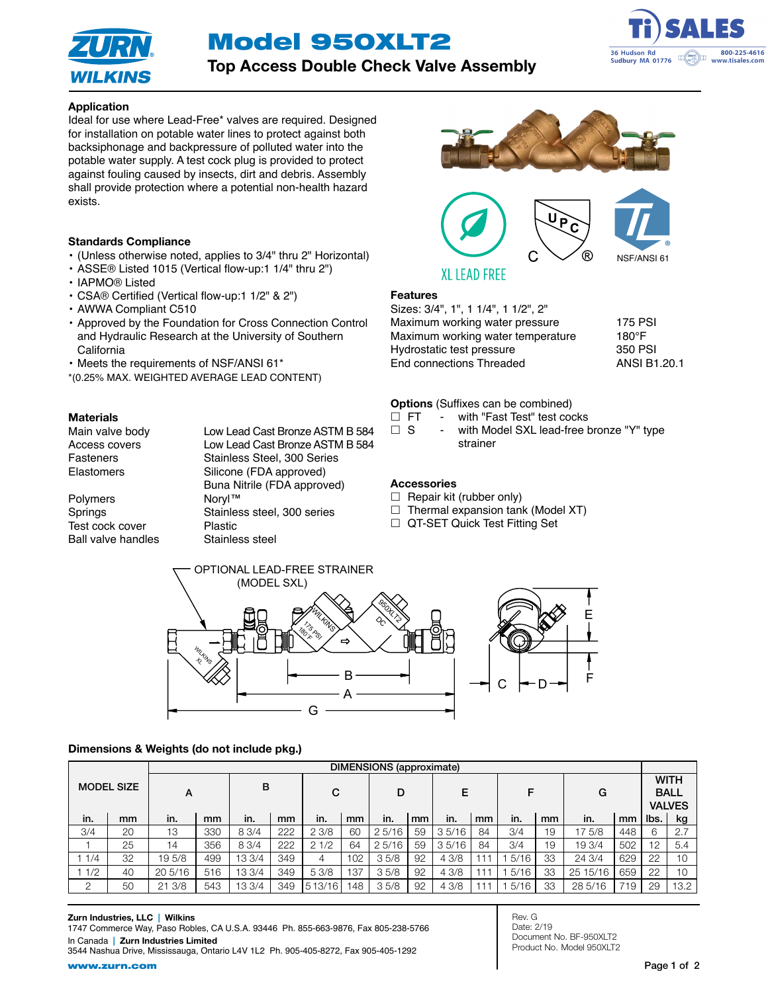Model 950XLT2



Top Access Double Check Valve Assembly



# Application

Ideal for use where Lead-Free\* valves are required. Designed for installation on potable water lines to protect against both backsiphonage and backpressure of polluted water into the potable water supply. A test cock plug is provided to protect against fouling caused by insects, dirt and debris. Assembly shall provide protection where a potential non-health hazard exists.

#### Standards Compliance

- (Unless otherwise noted, applies to 3/4" thru 2" Horizontal)
- ASSE® Listed 1015 (Vertical flow-up:1 1/4" thru 2")
- IAPMO® Listed
- CSA® Certified (Vertical flow-up:1 1/2" & 2")
- AWWA Compliant C510
- Approved by the Foundation for Cross Connection Control and Hydraulic Research at the University of Southern **California**
- Meets the requirements of NSF/ANSI 61\*
- \*(0.25% MAX. WEIGHTED AVERAGE LEAD CONTENT)

**Materials**<br>Main valve body Access covers Low Lead Cast Bronze ASTM B 584

Fasteners Stainless Steel, 300 Series Elastomers Silicone (FDA approved) Buna Nitrile (FDA approved) Polymers Noryl™ Springs Stainless steel, 300 series Test cock cover **Plastic** Ball valve handles Stainless steel

Low Lead Cast Bronze ASTM B 584



# Features

Sizes: 3/4", 1", 1 1/4", 1 1/2", 2" Maximum working water pressure 175 PSI Maximum working water temperature 180°F Hydrostatic test pressure 350 PSI End connections Threaded ANSI B1.20.1

#### Options (Suffixes can be combined)

- □ FT with "Fast Test" test cocks
- □ S with Model SXL lead-free bronze "Y" type strainer

### **Accessories**

- $\Box$  Repair kit (rubber only)
- $\Box$  Thermal expansion tank (Model XT)
- □ QT-SET Quick Test Fitting Set



#### Dimensions & Weights (do not include pkg.)

|          |                   | DIMENSIONS (approximate) |     |        |     |        |     |       |    |       |    |      |    |          |     |      |                                             |  |
|----------|-------------------|--------------------------|-----|--------|-----|--------|-----|-------|----|-------|----|------|----|----------|-----|------|---------------------------------------------|--|
|          | <b>MODEL SIZE</b> |                          | А   |        | B   |        | C   |       | D  |       | Е  |      | F  |          | G   |      | <b>WITH</b><br><b>BALL</b><br><b>VALVES</b> |  |
| in.      | mm                | in.                      | mm  | in.    | mm  | in.    | mm  | in.   | mm | in.   | mm | in.  | mm | in.      | mm  | lbs. | kg                                          |  |
| 3/4      | 20                | 13                       | 330 | 8 3/4  | 222 | 23/8   | 60  | 25/16 | 59 | 35/16 | 84 | 3/4  | 19 | 175/8    | 448 |      | 2.7                                         |  |
|          | 25                | 14                       | 356 | 83/4   | 222 | 21/2   | 64  | 25/16 | 59 | 35/16 | 84 | 3/4  | 19 | 19 3/4   | 502 | 12   | 5.4                                         |  |
| 1/4      | 32                | 195/8                    | 499 | 13 3/4 | 349 | 4      | 102 | 35/8  | 92 | 4 3/8 |    | 5/16 | 33 | 24 3/4   | 629 | 22   | 10                                          |  |
| 1/2      | 40                | $20\,5/16$               | 516 | 13 3/4 | 349 | 5 3/8  | 137 | 35/8  | 92 | 43/8  |    | 5/16 | 33 | 25 15/16 | 659 | 22   | 10                                          |  |
| $\Omega$ | 50                | 21 3/8                   | 543 | 13 3/4 | 349 | 513/16 | 48  | 35/8  | 92 | 43/8  |    | 5/16 | 33 | 28 5/16  | 719 | 29   | 13.2                                        |  |